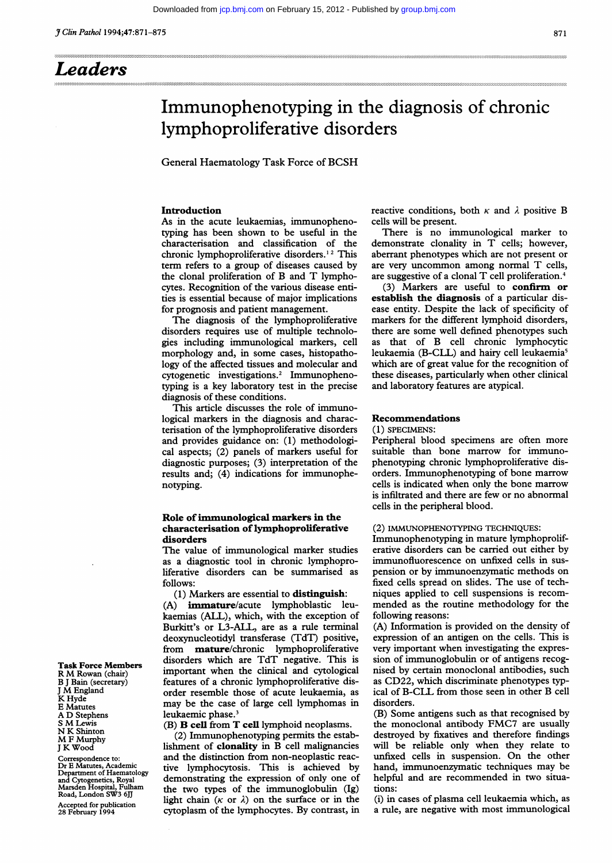# Immunophenotyping in the diagnosis of chronic lymphoproliferative disorders

General Haematology Task Force of BCSH

# Introduction

As in the acute leukaemias, immunophenotyping has been shown to be useful in the characterisation and classification of the chronic lymphoproliferative disorders.<sup>12</sup> This term refers to a group of diseases caused by the clonal proliferation of B and T lymphocytes. Recognition of the various disease entities is essential because of major implications for prognosis and patient management.

The diagnosis of the lymphoproliferative disorders requires use of multiple technologies including immunological markers, cell morphology and, in some cases, histopathology of the affected tissues and molecular and cytogenetic investigations.2 Immunophenotyping is a key laboratory test in the precise diagnosis of these conditions.

This article discusses the role of immunological markers in the diagnosis and characterisation of the lymphoproliferative disorders and provides guidance on: (1) methodological aspects; (2) panels of markers useful for diagnostic purposes; (3) interpretation of the results and; (4) indications for immunophenotyping.

# Role of immunological markers in the characterisation of lymphoproliferative disorders

The value of immunological marker studies as a diagnostic tool in chronic lymphoproliferative disorders can be summarised as follows:

(1) Markers are essential to **distinguish**:<br>(A) **immature**/acute lymphoblastic le immature/acute lymphoblastic leukaemias (ALL), which, with the exception of Burkitt's or L3-ALL, are as a rule terminal deoxynucleotidyl transferase (TdT) positive, from mature/chronic lymphoproliferative disorders which are TdT negative. This is important when the clinical and cytological features of a chronic lymphoproliferative disorder resemble those of acute leukaemia, as may be the case of large cell lymphomas in leukaemic phase.<sup>3</sup>

(B) B cell from T cell lymphoid neoplasms.

(2) Immunophenotyping permits the establishment of clonality in B cell malignancies and the distinction from non-neoplastic reactive lymphocytosis. This is achieved by demonstrating the expression of only one of the two types of the immunoglobulin (Ig) light chain ( $\kappa$  or  $\lambda$ ) on the surface or in the cytoplasm of the lymphocytes. By contrast, in reactive conditions, both  $\kappa$  and  $\lambda$  positive B cells will be present.

There is no immunological marker to demonstrate clonality in T cells; however, aberrant phenotypes which are not present or are very uncommon among normal T cells, are suggestive of <sup>a</sup> clonal T cell proliferation.4

(3) Markers are useful to confirm or establish the diagnosis of a particular disease entity. Despite the lack of specificity of markers for the different lymphoid disorders, there are some well defined phenotypes such as that of B cell chronic lymphocytic leukaemia (B-CLL) and hairy cell leukaemia<sup>5</sup> which are of great value for the recognition of these diseases, particularly when other clinical and laboratory features are atypical.

# Recommendations

(1) SPECIMENS:

Peripheral blood specimens are often more suitable than bone marrow for immunophenotyping chronic lymphoproliferative disorders. Immunophenotyping of bone marrow cells is indicated when only the bone marrow is infiltrated and there are few or no abnormal cells in the peripheral blood.

## (2) IMMUNOPHENOTYPING TECHNIQUES:

Immunophenotyping in mature lymphoproliferative disorders can be carried out either by immunofluorescence on unfixed cells in suspension or by immunoenzymatic methods on fixed cells spread on slides. The use of techniques applied to cell suspensions is recommended as the routine methodology for the following reasons:

(A) Information is provided on the density of expression of an antigen on the cells. This is very important when investigating the expression of immunoglobulin or of antigens recognised by certain monoclonal antibodies, such as CD22, which discriminate phenotypes typical of B-CLL from those seen in other B cell disorders.

(B) Some antigens such as that recognised by the monoclonal antibody FMC7 are usually destroyed by fixatives and therefore findings will be reliable only when they relate to unfixed cells in suspension. On the other hand, immunoenzymatic techniques may be helpful and are recommended in two situations:

(i) in cases of plasma cell leukaemia which, as a rule, are negative with most immunological

Task Force Members R M Rowan (chair) B <sup>J</sup> Bain (secretary) <sup>J</sup> M England K Hyde E Matutes A D Stephens <sup>S</sup> M Lewis N K Shinton M <sup>F</sup> Murphy <sup>J</sup> K Wood

Correspondence to: Dr E Matutes, Academic Department of Haematology and Cytogenetics, Royal Marsden Hospital, Fulham Road, London SW3 6JJ Accepted for publication 28 February 1994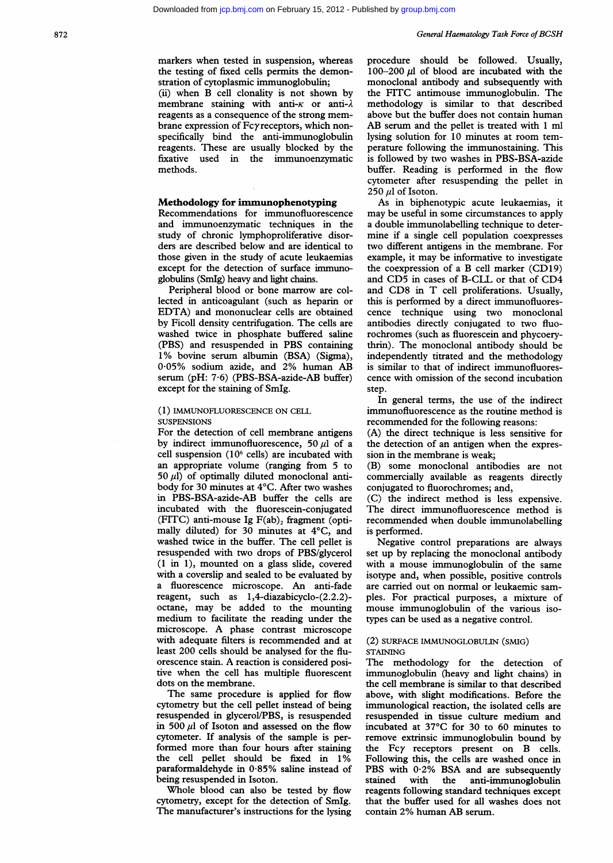markers when tested in suspension, whereas the testing of fixed cells permits the demonstration of cytoplasmic immunoglobulin;

(ii) when B cell clonality is not shown by membrane staining with anti- $\kappa$  or anti- $\lambda$ reagents as <sup>a</sup> consequence of the strong membrane expression of Fcyreceptors, which nonspecifically bind the anti-immunoglobulin reagents. These are usually blocked by the fixative used in the immunoenzymatic methods.

# Methodology for immunophenotyping

Recommendations for immunofluorescence and immunoenzymatic techniques in the study of chronic lymphoproliferative disorders are described below and are identical to those given in the study of acute leukaemias except for the detection of surface immunoglobulins (SmIg) heavy and light chains.

Peripheral blood or bone marrow are collected in anticoagulant (such as heparin or EDTA) and mononuclear cells are obtained by Ficoll density centrifugation. The cells are washed twice in phosphate buffered saline (PBS) and resuspended in PBS containing 1% bovine serum albumin (BSA) (Sigma), 005% sodium azide, and 2% human AB serum (pH: 7-6) (PBS-BSA-azide-AB buffer) except for the staining of SmIg.

#### (1) IMMUNOFLUORESCENCE ON CELL **SUSPENSIONS**

For the detection of cell membrane antigens by indirect immunofluorescence, 50  $\mu$ l of a cell suspension (106 cells) are incubated with an appropriate volume (ranging from 5 to 50  $\mu$ l) of optimally diluted monoclonal antibody for 30 minutes at 4°C. After two washes in PBS-BSA-azide-AB buffer the cells are incubated with the fluorescein-conjugated (FITC) anti-mouse Ig F(ab), fragment (optimally diluted) for 30 minutes at 4°C, and washed twice in the buffer. The cell pellet is resuspended with two drops of PBS/glycerol (1 in 1), mounted on a glass slide, covered with a coverslip and sealed to be evaluated by <sup>a</sup> fluorescence microscope. An anti-fade reagent, such as 1,4-diazabicyclo-(2.2.2) octane, may be added to the mounting medium to facilitate the reading under the microscope. A phase contrast microscope with adequate filters is recommended and at least 200 cells should be analysed for the fluorescence stain. A reaction is considered positive when the cell has multiple fluorescent dots on the membrane.

The same procedure is applied for flow cytometry but the cell pellet instead of being resuspended in glycerol/PBS, is resuspended in 500  $\mu$ l of Isoton and assessed on the flow cytometer. If analysis of the sample is performed more than four hours after staining the cell pellet should be fixed in 1% paraformaldehyde in 0-85% saline instead of being resuspended in Isoton.

Whole blood can also be tested by flow cytometry, except for the detection of SmIg. The manufacturer's instructions for the lysing procedure should be followed. Usually, 100-200  $\mu$ l of blood are incubated with the monoclonal antibody and subsequently with the FITC antimouse immunoglobulin. The methodology is similar to that described above but the buffer does not contain human AB serum and the pellet is treated with <sup>1</sup> ml lysing solution for 10 minutes at room temperature following the immunostaining. This is followed by two washes in PBS-BSA-azide buffer. Reading is performed in the flow cytometer after resuspending the pellet in  $250 \mu l$  of Isoton.

As in biphenotypic acute leukaemias, it may be useful in some circumstances to apply a double immunolabelling technique to determine if a single cell population coexpresses two different antigens in the membrane. For example, it may be informative to investigate the coexpression of <sup>a</sup> B cell marker (CD19) and CD5 in cases of B-CLL or that of CD4 and CD8 in T cell proliferations. Usually, this is performed by a direct immunofluorescence technique using two monoclonal antibodies directly conjugated to two fluorochromes (such as fluorescein and phycoerythrin). The monoclonal antibody should be independently titrated and the methodology is similar to that of indirect immunofluorescence with omission of the second incubation step.

In general terms, the use of the indirect immunofluorescence as the routine method is recommended for the following reasons:

(A) the direct technique is less sensitive for the detection of an antigen when the expression in the membrane is weak;

(B) some monoclonal antibodies are not commercially available as reagents directly conjugated to fluorochromes; and,

(C) the indirect method is less expensive. The direct immunofluorescence method is recommended when double immunolabelling is performed.

Negative control preparations are always set up by replacing the monoclonal antibody with a mouse immunoglobulin of the same isotype and, when possible, positive controls are carried out on normal or leukaemic samples. For practical purposes, a mixture of mouse immunoglobulin of the various isotypes can be used as a negative control.

#### (2) SURFACE IMMUNOGLOBULIN (SMIG) **STAINING**

The methodology for the detection of immunoglobulin (heavy and light chains) in the cell membrane is similar to that described above, with slight modifications. Before the immunological reaction, the isolated cells are resuspended in tissue culture medium and incubated at 37°C for 30 to 60 minutes to remove extrinsic immunoglobulin bound by the Fcy receptors present on B cells. Following this, the cells are washed once in PBS with 0-2% BSA and are subsequently stained with the anti-immunoglobulin reagents following standard techniques except that the buffer used for all washes does not contain 2% human AB serum.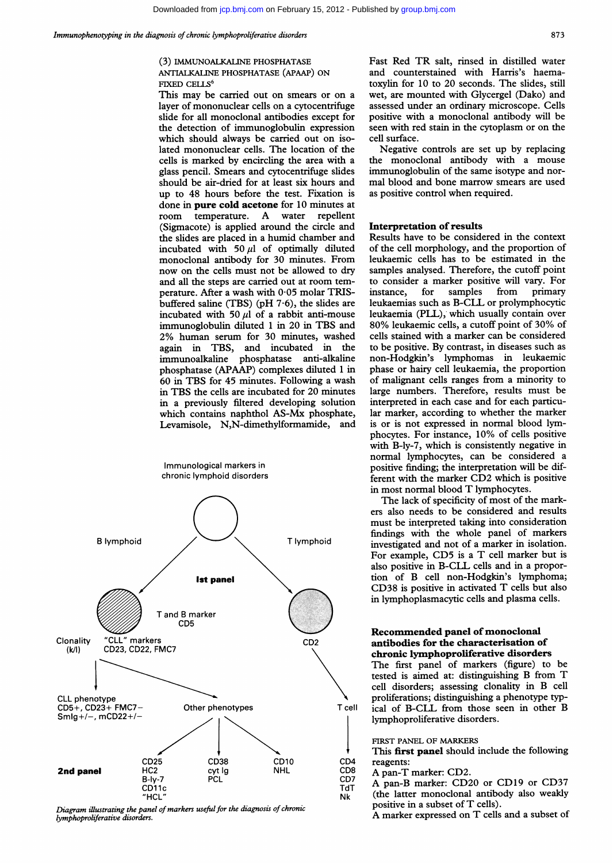# (3) IMMUNOALKALINE PHOSPHATASE ANTIALKALINE PHOSPHATASE (APAAP) ON FIXED CELLS<sup>6</sup>

This may be carried out on smears or on <sup>a</sup> layer of mononuclear cells on a cytocentrifuge slide for all monoclonal antibodies except for the detection of immunoglobulin expression which should always be carried out on isolated mononuclear cells. The location of the cells is marked by encircling the area with a glass pencil. Smears and cytocentrifuge slides should be air-dried for at least six hours and up to 48 hours before the test. Fixation is done in **pure cold acetone** for 10 minutes at<br>room temperature. A water repellent room temperature. A water (Sigmacote) is applied around the circle and the slides are placed in a humid chamber and incubated with 50  $\mu$ l of optimally diluted monoclonal antibody for 30 minutes. From now on the cells must not be allowed to dry and all the steps are carried out at room temperature. After a wash with  $0.05$  molar TRISbuffered saline (TBS) (pH  $7.6$ ), the slides are incubated with 50  $\mu$ l of a rabbit anti-mouse immunoglobulin diluted <sup>1</sup> in 20 in TBS and 2% human serum for 30 minutes, washed again in TBS, and incubated in the immunoalkaline phosphatase anti-alkaline phosphatase (APAAP) complexes diluted <sup>1</sup> in 60 in TBS for 45 minutes. Following <sup>a</sup> wash in TBS the cells are incubated for 20 minutes in a previously filtered developing solution which contains naphthol AS-Mx phosphate, Levamisole, N,N-dimethylformamide, and



Diagram illustrating the panel of markers useful for the diagnosis of chronic lymphoproliferative disorders.

Fast Red TR salt, rinsed in distilled water and counterstained with Harris's haematoxylin for 10 to 20 seconds. The slides, still wet, are mounted with Glycergel (Dako) and assessed under an ordinary microscope. Cells positive with a monoclonal antibody will be seen with red stain in the cytoplasm or on the cell surface.

Negative controls are set up by replacing the monoclonal antibody with a mouse immunoglobulin of the same isotype and normal blood and bone marrow smears are used as positive control when required.

#### Interpretation of results

Results have to be considered in the context of the cell morphology, and the proportion of leukaemic cells has to be estimated in the samples analysed. Therefore, the cutoff point to consider a marker positive will vary. For instance, for samples from primary leukaemias such as B-CLL or prolymphocytic leukaemia (PLL), which usually contain over 80% leukaemic cells, <sup>a</sup> cutoff point of 30% of cells stained with a marker can be considered to be positive. By contrast, in diseases such as non-Hodgkin's lymphomas in leukaemic phase or hairy cell leukaemia, the proportion of malignant cells ranges from a minority to large numbers. Therefore, results must be interpreted in each case and for each particular marker, according to whether the marker is or is not expressed in normal blood lymphocytes. For instance, 10% of cells positive with B-ly-7, which is consistently negative in normal lymphocytes, can be considered a positive finding; the interpretation will be different with the marker CD2 which is positive in most normal blood T lymphocytes.

The lack of specificity of most of the markers also needs to be considered and results must be interpreted taking into consideration findings with the whole panel of markers investigated and not of a marker in isolation. For example, CD5 is <sup>a</sup> T cell marker but is also positive in B-CLL cells and in <sup>a</sup> proportion of B cell non-Hodgkin's lymphoma; CD38 is positive in activated T cells but also in lymphoplasmacytic cells and plasma cells.

# Recommended panel of monoclonal antibodies for the characterisation of chronic lymphoproliferative disorders

The first panel of markers (figure) to be tested is aimed at: distinguishing B from T cell disorders; assessing clonality in B cell proliferations; distinguishing a phenotype typical of B-CLL from those seen in other B lymphoproliferative disorders.

FIRST PANEL OF MARKERS

This first panel should include the following reagents:

- A pan-T marker: CD2.
- A pan-B marker: CD20 or CD19 or CD37 (the latter monoclonal antibody also weakly positive in <sup>a</sup> subset of T cells).

A marker expressed on T cells and <sup>a</sup> subset of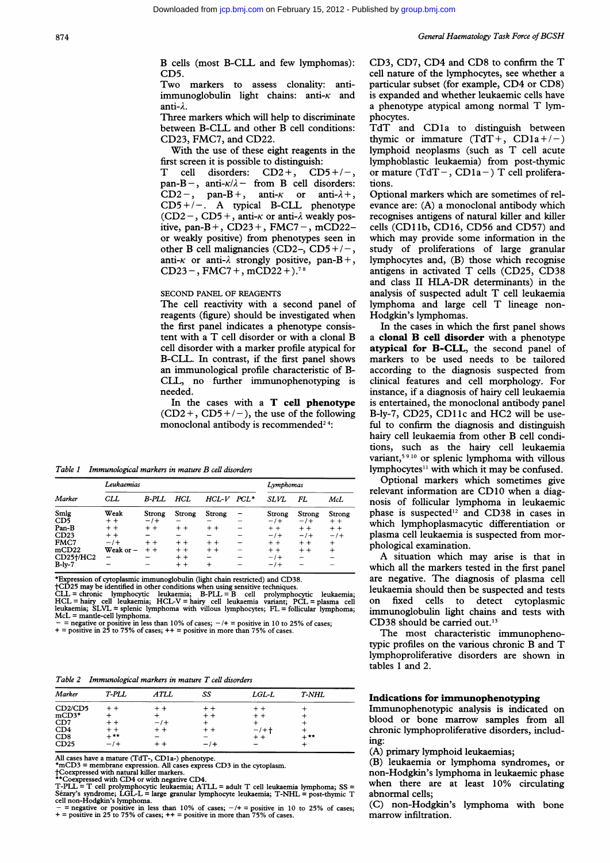B cells (most B-CLL and few lymphomas): CD5.

Two markers to assess clonality: antiimmunoglobulin light chains: anti- $\kappa$  and anti-A.

Three markers which will help to discriminate between B-CLL and other B cell conditions: CD23, FMC7, and CD22.

With the use of these eight reagents in the first screen it is possible to distinguish:

T cell disorders:  $CD2 +$ ,  $CD5 + / -$ , pan-B-, anti- $\kappa/\lambda$ - from B cell disorders: CD2-, pan-B+, anti- $\kappa$  or anti- $\lambda$ +,  $CD5+/-$ . A typical B-CLL phenotype  $(CD2-, CD5+, anti- $\kappa$  or anti- $\lambda$  weakly pos$ itive, pan-B +,  $CD23 +$ ,  $FMC7 -$ ,  $mCD22$ or weakly positive) from phenotypes seen in other B cell malignancies (CD2-, CD5+/-, anti- $\kappa$  or anti- $\lambda$  strongly positive, pan-B+,  $CD23 -$ , FMC7 +, mCD22 +).<sup>78</sup>

## SECOND PANEL OF REAGENTS

The cell reactivity with a second panel of reagents (figure) should be investigated when the first panel indicates a phenotype consistent with <sup>a</sup> T cell disorder or with <sup>a</sup> clonal B cell disorder with a marker profile atypical for B-CLL. In contrast, if the first panel shows an immunological profile characteristic of B-CLL, no further immunophenotyping is needed.

In the cases with <sup>a</sup> T cell phenotype  $(CD2 +, CD5 +/-)$ , the use of the following monoclonal antibody is recommended<sup>24</sup>:

Table <sup>1</sup> Immunological markers in mature B cell disorders

|                         | Leukaemias       | Lymphomas                       |                |            |      |                 |                 |                 |
|-------------------------|------------------|---------------------------------|----------------|------------|------|-----------------|-----------------|-----------------|
| Marker                  | CLL              | <b>B-PLL</b>                    | HCL            | HCL-V      | PCL* | SLVL            | FL              | McL             |
| Smlg<br>CD <sub>5</sub> | Weak<br>$+ +$    | Strong<br>$-1$ +                | Strong         | Strong     | -    | Strong<br>$-1+$ | Strong<br>$-1+$ | Strong<br>$+ +$ |
| Pan-B                   | $+ +$            | $+ +$                           | $+ +$          | $+ +$      |      | $+ +$           | $+ +$           | $+ +$           |
| CD23<br>FMC7            | $+ +$<br>$-1+$   | $+ +$                           | $+ +$          | $+ +$      |      | $-1$<br>$+ +$   | $-1$<br>$+ +$   | $-1$<br>$\,$    |
| mCD22<br>CD25†/HC2      | Weak or $-$<br>- | $^{\mathrm{+}}$ $^{\mathrm{+}}$ | $+ +$<br>$+ +$ | $+ +$<br>- |      | $+ +$<br>$-1$   | $+ +$           | $^{+}$          |
| $B$ -ly-7               |                  |                                 | $+ +$          | $\ddot{}$  |      | $-1$            |                 |                 |

\*Expression of cytoplasmic immunoglobulin (light chain restricted) and CD38.

 $R_{\text{D25}}$  may be identified in other conditions when using sensitive techniques<br>CLL = chronic lymphocytic leukaemia; B-PLL = B cell prolympho CLL = chronic lymphocytic leukaemia; B-PLL = B cell prolymphocytic leukaemia;<br>HCL = hairy cell leukaemia; HCL-V = hairy cell leukaemia variant; PCL = plasma cell<br>leukaemia; SLVL = splenic lymphoma with villous lymphocytes; McL = mantle-cell lymphoma.

 $-$  = negative or positive in less than 10% of cases;  $-/+$  = positive in 10 to 25% of cases;  $+$  = positive in 25 to 75% of cases;  $++$  = positive in more than 75% of cases.

Table 2 Immunological markers in mature T cell disorders

| Marker                           | T-PLL  | <b>ATLL</b>                     | SS    | $LGL-L$ | <b>T-NHL</b> |
|----------------------------------|--------|---------------------------------|-------|---------|--------------|
| CD <sub>2</sub> /CD <sub>5</sub> |        |                                 | $+ +$ |         |              |
| $mCD3*$                          |        |                                 | $+ +$ |         |              |
| CD7                              | $+ +$  | $-1+$                           |       |         |              |
| CD4                              | $+ +$  | $^{\mathrm{+}}$ $^{\mathrm{+}}$ |       | $-1+$   |              |
| CD8                              | $+***$ |                                 |       |         | $+**$        |
| CD25                             | $-1+$  | - -                             |       |         |              |

All cases have a mature (TdT-, CD1a-) phenotype.<br>\*mCD3 = membrane expression. All cases express CD3 in the cytoplasm.<br>†Coexpressed with natural killer markers.

\*\*Coexpressed with CD4 or with negative CD4. T-PLL = T cell prolymphocytic leukaemia; ATLL = adult T cell leukaemia lymphoma; SS <sup>=</sup> Sezary's syndrome; LGL-L = large granular lymphocyte leukaemia; T-NHL = post-thymic T cell non-Hodgkin's lymphoma.

 $\frac{1}{x}$  = negative or positive in less than 10% of cases;  $-\prime$  + = positive in 10 to 25% of cases;<br>+ = positive in 25 to 75% of cases; + + = positive in more than 75% of cases.

CD3, CD7, CD4 and CD8 to confirm the T cell nature of the lymphocytes, see whether a particular subset (for example, CD4 or CD8) is expanded and whether leukaemic cells have <sup>a</sup> phenotype atypical among normal T lymphocytes.

TdT and CD1a to distinguish between thymic or immature  $(TdT +$ ,  $CD1a+/-)$ lymphoid neoplasms (such as T cell acute lymphoblastic leukaemia) from post-thymic or mature (TdT –, CD1a –) T cell proliferations.

Optional markers which are sometimes of relevance are: (A) a monoclonal antibody which recognises antigens of natural killer and killer cells (CD1lb, CD16, CD56 and CD57) and which may provide some information in the study of proliferations of large granular lymphocytes and, (B) those which recognise antigens in activated T cells (CD25, CD38 and class II HLA-DR determinants) in the analysis of suspected adult T cell leukaemia lymphoma and large cell T lineage non-Hodgkin's lymphomas.

In the cases in which the first panel shows <sup>a</sup> clonal B cell disorder with <sup>a</sup> phenotype atypical for B-CLL, the second panel of markers to be used needs to be tailored according to the diagnosis suspected from clinical features and cell morphology. For instance, if a diagnosis of hairy cell leukaemia is entertained, the monoclonal antibody panel B-ly-7, CD25, CD1 ic and HC2 will be useful to confirm the diagnosis and distinguish hairy cell leukaemia from other B cell conditions, such as the hairy cell leukaemia variant,59<sup>10</sup> or splenic lymphoma with villous lymphocytes<sup>11</sup> with which it may be confused.

Optional markers which sometimes give relevant information are CD10 when <sup>a</sup> diagnosis of follicular lymphoma in leukaemic phase is suspected'2 and CD38 in cases in which lymphoplasmacytic differentiation or plasma cell leukaemia is suspected from morphological examination.

A situation which may arise is that in which all the markers tested in the first panel are negative. The diagnosis of plasma cell leukaemia should then be suspected and tests on fixed cells to detect cytoplasmic immunoglobulin light chains and tests with CD38 should be carried out.<sup>13</sup>

The most characteristic immunophenotypic profiles on the various chronic B and T lymphoproliferative disorders are shown in tables <sup>1</sup> and 2.

## Indications for immunophenotyping

Immunophenotypic analysis is indicated on blood or bone marrow samples from all chronic lymphoproliferative disorders, including:

(A) primary lymphoid leukaemias;

(B) leukaemia or lymphoma syndromes, or non-Hodgkin's lymphoma in leukaemic phase when there are at least 10% circulating abnormal cells;

(C) non-Hodgkin's lymphoma with bone marrow infiltration.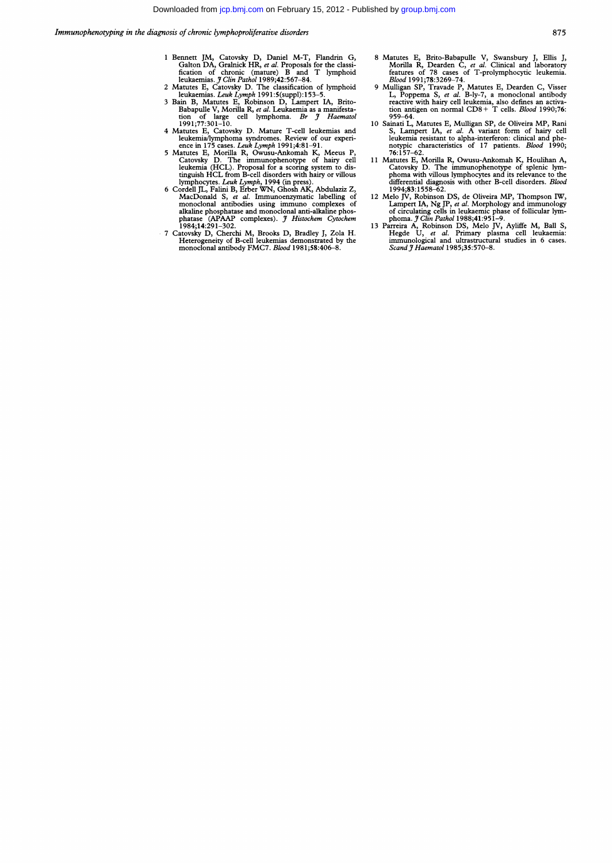- 1 Bennett JM, Catovsky D, Daniel M-T, Flandrin G,<br>
Galton DA, Gralnick HR, et al. Proposals for the classi-<br>
fication of chronic (mature) B and T lymphoid<br>
leukaemias. *J Clin Pathol* 1989;42:567–84.<br>
2 Matutes E, Catovsky
- 
- Babapulle V, Morilla R, *et al.* Leukaemia as a manifestation of large cell lymphoma. *Br J Haematol*<br>1991;77:301–10.
- 
- 4 Matutes E, Catovsky D. Mature T-cell leukemially<br>mphoma syndromes. Review of our experience in 175 cases. Leuk Lymph 1991;<br>4:81-91.<br>5 Matutes E, Morilla R, Owusu-Ankomah K, Meeus P, Catovsky D. The immunophenotype of ha
- tinguish HCL from B-cell disorders with hairy or villous<br>lymphocytes. Leak Lymph, 1994 (in press).<br>Cordell JL, Falini B, Erber WN, Ghosh AK, Abdulaziz Z,<br>MacDonald S, et al. Immunoenzymatic labelling of<br>monoclonal antibodi
- 
- 
- 8 Mattues E, Brito-Babapule V, Swansbury J, Ellis J, Charlotter, Morrilla R, Dearden C, et al. Clinical and laboratory<br>features of 78 cases of T-prolymphocytic leukemia.<br>Blood 1991;78:3269–74.<br>9 Milligan SP, Travade P, Ma
- 10 Sainati L, Matutes E, Mulligan SP, de Oliveira MP, Rani S, Lampert IA, et al. A variant form of hairy cell leukemia resistant to alpha-interferon: clinical and phe-
- leukenna resistant to alpha-interferon: clinical and phe-<br>notypic characteristics of 17 patients. *Blood* 1990;<br> $76:157-62$ .<br>11 Matutes E, Morilla R, Owusu-Ankomah K, Houlihan A,<br>clatowsky D. The immunophenotype of spleni
- 
-